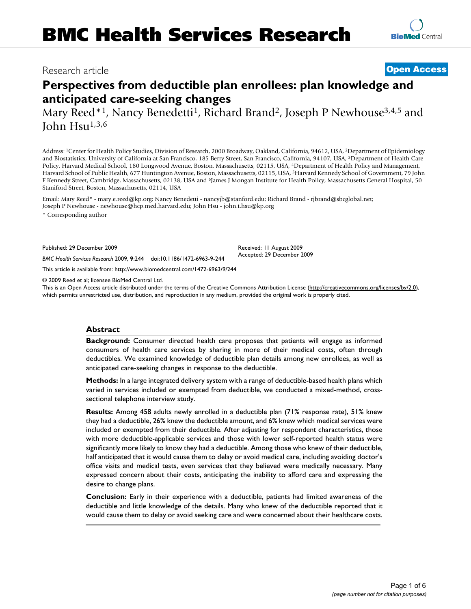# Research article **[Open Access](http://www.biomedcentral.com/info/about/charter/)**

# **Perspectives from deductible plan enrollees: plan knowledge and anticipated care-seeking changes**

Mary Reed<sup>\*1</sup>, Nancy Benedetti<sup>1</sup>, Richard Brand<sup>2</sup>, Joseph P Newhouse<sup>3,4,5</sup> and John  $Hsu<sup>1,3,6</sup>$ 

Address: 1Center for Health Policy Studies, Division of Research, 2000 Broadway, Oakland, California, 94612, USA, 2Department of Epidemiology and Biostatistics, University of California at San Francisco, 185 Berry Street, San Francisco, California, 94107, USA, 3Department of Health Care Policy, Harvard Medical School, 180 Longwood Avenue, Boston, Massachusetts, 02115, USA, 4Department of Health Policy and Management, Harvard School of Public Health, 677 Huntington Avenue, Boston, Massachusetts, 02115, USA, 5Harvard Kennedy School of Government, 79 John F Kennedy Street, Cambridge, Massachusetts, 02138, USA and 6James J Mongan Institute for Health Policy, Massachusetts General Hospital, 50 Staniford Street, Boston, Massachusetts, 02114, USA

Email: Mary Reed\* - mary.e.reed@kp.org; Nancy Benedetti - nancyjb@stanford.edu; Richard Brand - rjbrand@sbcglobal.net; Joseph P Newhouse - newhouse@hcp.med.harvard.edu; John Hsu - john.t.hsu@kp.org

\* Corresponding author

Published: 29 December 2009

*BMC Health Services Research* 2009, **9**:244 doi:10.1186/1472-6963-9-244

[This article is available from: http://www.biomedcentral.com/1472-6963/9/244](http://www.biomedcentral.com/1472-6963/9/244)

© 2009 Reed et al; licensee BioMed Central Ltd.

This is an Open Access article distributed under the terms of the Creative Commons Attribution License [\(http://creativecommons.org/licenses/by/2.0\)](http://creativecommons.org/licenses/by/2.0), which permits unrestricted use, distribution, and reproduction in any medium, provided the original work is properly cited.

Received: 11 August 2009 Accepted: 29 December 2009

#### **Abstract**

**Background:** Consumer directed health care proposes that patients will engage as informed consumers of health care services by sharing in more of their medical costs, often through deductibles. We examined knowledge of deductible plan details among new enrollees, as well as anticipated care-seeking changes in response to the deductible.

**Methods:** In a large integrated delivery system with a range of deductible-based health plans which varied in services included or exempted from deductible, we conducted a mixed-method, crosssectional telephone interview study.

**Results:** Among 458 adults newly enrolled in a deductible plan (71% response rate), 51% knew they had a deductible, 26% knew the deductible amount, and 6% knew which medical services were included or exempted from their deductible. After adjusting for respondent characteristics, those with more deductible-applicable services and those with lower self-reported health status were significantly more likely to know they had a deductible. Among those who knew of their deductible, half anticipated that it would cause them to delay or avoid medical care, including avoiding doctor's office visits and medical tests, even services that they believed were medically necessary. Many expressed concern about their costs, anticipating the inability to afford care and expressing the desire to change plans.

**Conclusion:** Early in their experience with a deductible, patients had limited awareness of the deductible and little knowledge of the details. Many who knew of the deductible reported that it would cause them to delay or avoid seeking care and were concerned about their healthcare costs.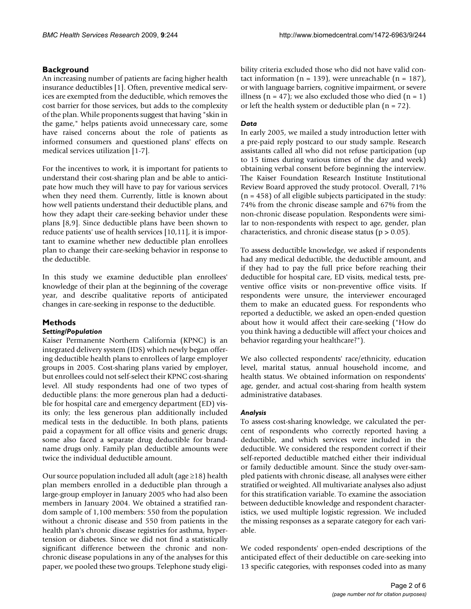# **Background**

An increasing number of patients are facing higher health insurance deductibles [1]. Often, preventive medical services are exempted from the deductible, which removes the cost barrier for those services, but adds to the complexity of the plan. While proponents suggest that having "skin in the game," helps patients avoid unnecessary care, some have raised concerns about the role of patients as informed consumers and questioned plans' effects on medical services utilization [1-7].

For the incentives to work, it is important for patients to understand their cost-sharing plan and be able to anticipate how much they will have to pay for various services when they need them. Currently, little is known about how well patients understand their deductible plans, and how they adapt their care-seeking behavior under these plans [8,9]. Since deductible plans have been shown to reduce patients' use of health services [10,11], it is important to examine whether new deductible plan enrollees plan to change their care-seeking behavior in response to the deductible.

In this study we examine deductible plan enrollees' knowledge of their plan at the beginning of the coverage year, and describe qualitative reports of anticipated changes in care-seeking in response to the deductible.

# **Methods**

# *Setting/Population*

Kaiser Permanente Northern California (KPNC) is an integrated delivery system (IDS) which newly began offering deductible health plans to enrollees of large employer groups in 2005. Cost-sharing plans varied by employer, but enrollees could not self-select their KPNC cost-sharing level. All study respondents had one of two types of deductible plans: the more generous plan had a deductible for hospital care and emergency department (ED) visits only; the less generous plan additionally included medical tests in the deductible. In both plans, patients paid a copayment for all office visits and generic drugs; some also faced a separate drug deductible for brandname drugs only. Family plan deductible amounts were twice the individual deductible amount.

Our source population included all adult (age ≥18) health plan members enrolled in a deductible plan through a large-group employer in January 2005 who had also been members in January 2004. We obtained a stratified random sample of 1,100 members: 550 from the population without a chronic disease and 550 from patients in the health plan's chronic disease registries for asthma, hypertension or diabetes. Since we did not find a statistically significant difference between the chronic and nonchronic disease populations in any of the analyses for this paper, we pooled these two groups. Telephone study eligibility criteria excluded those who did not have valid contact information (n = 139), were unreachable (n = 187), or with language barriers, cognitive impairment, or severe illness ( $n = 47$ ); we also excluded those who died ( $n = 1$ ) or left the health system or deductible plan  $(n = 72)$ .

# *Data*

In early 2005, we mailed a study introduction letter with a pre-paid reply postcard to our study sample. Research assistants called all who did not refuse participation (up to 15 times during various times of the day and week) obtaining verbal consent before beginning the interview. The Kaiser Foundation Research Institute Institutional Review Board approved the study protocol. Overall, 71%  $(n = 458)$  of all eligible subjects participated in the study: 74% from the chronic disease sample and 67% from the non-chronic disease population. Respondents were similar to non-respondents with respect to age, gender, plan characteristics, and chronic disease status ( $p > 0.05$ ).

To assess deductible knowledge, we asked if respondents had any medical deductible, the deductible amount, and if they had to pay the full price before reaching their deductible for hospital care, ED visits, medical tests, preventive office visits or non-preventive office visits. If respondents were unsure, the interviewer encouraged them to make an educated guess. For respondents who reported a deductible, we asked an open-ended question about how it would affect their care-seeking ("How do you think having a deductible will affect your choices and behavior regarding your healthcare?").

We also collected respondents' race/ethnicity, education level, marital status, annual household income, and health status. We obtained information on respondents' age, gender, and actual cost-sharing from health system administrative databases.

# *Analysis*

To assess cost-sharing knowledge, we calculated the percent of respondents who correctly reported having a deductible, and which services were included in the deductible. We considered the respondent correct if their self-reported deductible matched either their individual or family deductible amount. Since the study over-sampled patients with chronic disease, all analyses were either stratified or weighted. All multivariate analyses also adjust for this stratification variable. To examine the association between deductible knowledge and respondent characteristics, we used multiple logistic regression. We included the missing responses as a separate category for each variable.

We coded respondents' open-ended descriptions of the anticipated effect of their deductible on care-seeking into 13 specific categories, with responses coded into as many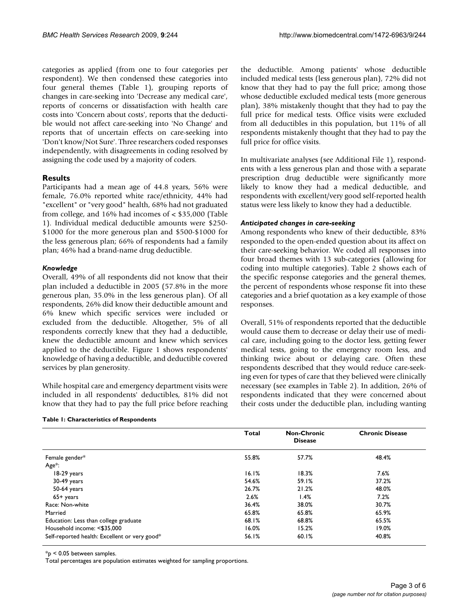categories as applied (from one to four categories per respondent). We then condensed these categories into four general themes (Table 1), grouping reports of changes in care-seeking into 'Decrease any medical care', reports of concerns or dissatisfaction with health care costs into 'Concern about costs', reports that the deductible would not affect care-seeking into 'No Change' and reports that of uncertain effects on care-seeking into 'Don't know/Not Sure'. Three researchers coded responses independently, with disagreements in coding resolved by assigning the code used by a majority of coders.

## **Results**

Participants had a mean age of 44.8 years, 56% were female, 76.0% reported white race/ethnicity, 44% had "excellent" or "very good" health, 68% had not graduated from college, and 16% had incomes of < \$35,000 (Table 1). Individual medical deductible amounts were \$250- \$1000 for the more generous plan and \$500-\$1000 for the less generous plan; 66% of respondents had a family plan; 46% had a brand-name drug deductible.

#### *Knowledge*

Overall, 49% of all respondents did not know that their plan included a deductible in 2005 (57.8% in the more generous plan, 35.0% in the less generous plan). Of all respondents, 26% did know their deductible amount and 6% knew which specific services were included or excluded from the deductible. Altogether, 5% of all respondents correctly knew that they had a deductible, knew the deductible amount and knew which services applied to the deductible. Figure 1 shows respondents' knowledge of having a deductible, and deductible covered services by plan generosity.

While hospital care and emergency department visits were included in all respondents' deductibles, 81% did not know that they had to pay the full price before reaching

|  |  | Table 1: Characteristics of Respondents |  |  |
|--|--|-----------------------------------------|--|--|
|--|--|-----------------------------------------|--|--|

the deductible. Among patients' whose deductible included medical tests (less generous plan), 72% did not know that they had to pay the full price; among those whose deductible excluded medical tests (more generous plan), 38% mistakenly thought that they had to pay the full price for medical tests. Office visits were excluded from all deductibles in this population, but 11% of all respondents mistakenly thought that they had to pay the full price for office visits.

In multivariate analyses (see Additional File 1), respondents with a less generous plan and those with a separate prescription drug deductible were significantly more likely to know they had a medical deductible, and respondents with excellent/very good self-reported health status were less likely to know they had a deductible.

#### *Anticipated changes in care-seeking*

Among respondents who knew of their deductible, 83% responded to the open-ended question about its affect on their care-seeking behavior. We coded all responses into four broad themes with 13 sub-categories (allowing for coding into multiple categories). Table 2 shows each of the specific response categories and the general themes, the percent of respondents whose response fit into these categories and a brief quotation as a key example of those responses.

Overall, 51% of respondents reported that the deductible would cause them to decrease or delay their use of medical care, including going to the doctor less, getting fewer medical tests, going to the emergency room less, and thinking twice about or delaying care. Often these respondents described that they would reduce care-seeking even for types of care that they believed were clinically necessary (see examples in Table 2). In addition, 26% of respondents indicated that they were concerned about their costs under the deductible plan, including wanting

|                                               | <b>Total</b> | <b>Non-Chronic</b><br><b>Disease</b> | <b>Chronic Disease</b> |
|-----------------------------------------------|--------------|--------------------------------------|------------------------|
| Female gender*                                | 55.8%        | 57.7%                                | 48.4%                  |
| Age*:                                         |              |                                      |                        |
| 18-29 years                                   | 16.1%        | 18.3%                                | 7.6%                   |
| $30-49$ years                                 | 54.6%        | 59.1%                                | 37.2%                  |
| 50-64 years                                   | 26.7%        | 21.2%                                | 48.0%                  |
| 65+ years                                     | 2.6%         | 1.4%                                 | 7.2%                   |
| Race: Non-white                               | 36.4%        | 38.0%                                | 30.7%                  |
| Married                                       | 65.8%        | 65.8%                                | 65.9%                  |
| Education: Less than college graduate         | 68.1%        | 68.8%                                | 65.5%                  |
| Household income: <\$35,000                   | 16.0%        | 15.2%                                | 19.0%                  |
| Self-reported health: Excellent or very good* | 56.1%        | 60.1%                                | 40.8%                  |

\*p < 0.05 between samples.

Total percentages are population estimates weighted for sampling proportions.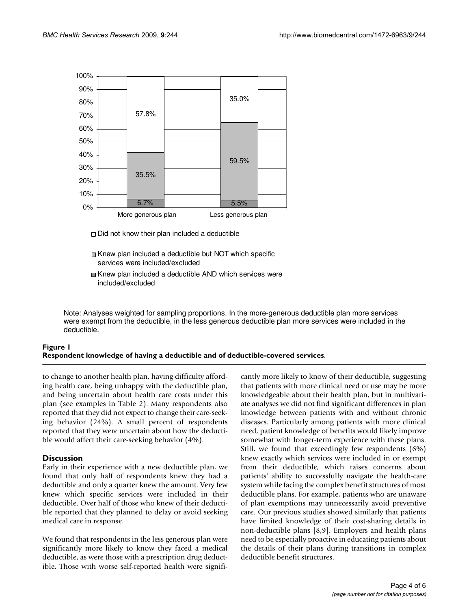

- $\Box$  Did not know their plan included a deductible
- Knew plan included a deductible but NOT which specific services were included/excluded
- Knew plan included a deductible AND which services were included/excluded

Note: Analyses weighted for sampling proportions. In the more-generous deductible plan more services were exempt from the deductible, in the less generous deductible plan more services were included in the deductible.

# Respondent knowledge of having a dedu **Figure 1** ctible and of deductible-covered services

#### **Respondent knowledge of having a deductible and of deductible-covered services**.

to change to another health plan, having difficulty affording health care, being unhappy with the deductible plan, and being uncertain about health care costs under this plan (see examples in Table 2). Many respondents also reported that they did not expect to change their care-seeking behavior (24%). A small percent of respondents reported that they were uncertain about how the deductible would affect their care-seeking behavior (4%).

#### **Discussion**

Early in their experience with a new deductible plan, we found that only half of respondents knew they had a deductible and only a quarter knew the amount. Very few knew which specific services were included in their deductible. Over half of those who knew of their deductible reported that they planned to delay or avoid seeking medical care in response.

We found that respondents in the less generous plan were significantly more likely to know they faced a medical deductible, as were those with a prescription drug deductible. Those with worse self-reported health were significantly more likely to know of their deductible, suggesting that patients with more clinical need or use may be more knowledgeable about their health plan, but in multivariate analyses we did not find significant differences in plan knowledge between patients with and without chronic diseases. Particularly among patients with more clinical need, patient knowledge of benefits would likely improve somewhat with longer-term experience with these plans. Still, we found that exceedingly few respondents (6%) knew exactly which services were included in or exempt from their deductible, which raises concerns about patients' ability to successfully navigate the health-care system while facing the complex benefit structures of most deductible plans. For example, patients who are unaware of plan exemptions may unnecessarily avoid preventive care. Our previous studies showed similarly that patients have limited knowledge of their cost-sharing details in non-deductible plans [8,9]. Employers and health plans need to be especially proactive in educating patients about the details of their plans during transitions in complex deductible benefit structures.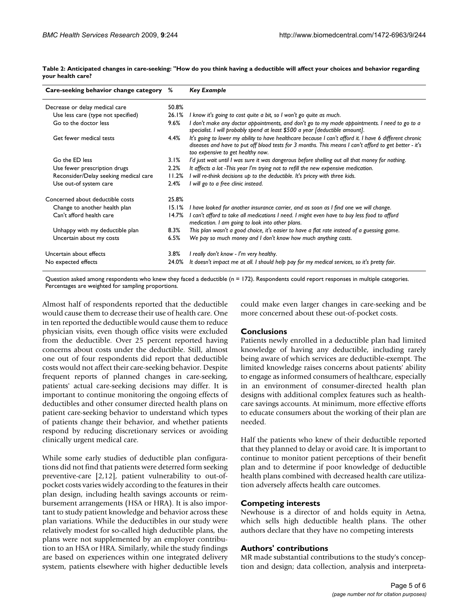| Care-seeking behavior change category % |       | Key Example                                                                                                                                                                                                                                           |
|-----------------------------------------|-------|-------------------------------------------------------------------------------------------------------------------------------------------------------------------------------------------------------------------------------------------------------|
| Decrease or delay medical care          |       |                                                                                                                                                                                                                                                       |
| Use less care (type not specified)      | 26.1% | I know it's going to cost quite a bit, so I won't go quite as much.                                                                                                                                                                                   |
| Go to the doctor less                   | 9.6%  | I don't make any doctor appointments, and don't go to my made appointments. I need to go to a<br>specialist. I will probably spend at least \$500 a year [deductible amount].                                                                         |
| Get fewer medical tests                 | 4.4%  | It's going to lower my ability to have healthcare because I can't afford it. I have 6 different chronic<br>diseases and have to put off blood tests for 3 months. This means I can't afford to get better - it's<br>too expensive to get healthy now. |
| Go the ED less                          | 3.1%  | I'd just wait until I was sure it was dangerous before shelling out all that money for nothing.                                                                                                                                                       |
| Use fewer prescription drugs            | 2.2%  | It affects a lot -This year I'm trying not to refill the new expensive medication.                                                                                                                                                                    |
| Reconsider/Delay seeking medical care   | 11.2% | I will re-think decisions up to the deductible. It's pricey with three kids.                                                                                                                                                                          |
| Use out-of system care                  | 2.4%  | I will go to a free clinic instead.                                                                                                                                                                                                                   |
| Concerned about deductible costs        | 25.8% |                                                                                                                                                                                                                                                       |
| Change to another health plan           | 15.1% | I have looked for another insurance carrier, and as soon as I find one we will change.                                                                                                                                                                |
| Can't afford health care                | 14.7% | I can't afford to take all medications I need. I might even have to buy less food to afford<br>medication. I am going to look into other plans.                                                                                                       |
| Unhappy with my deductible plan         | 8.3%  | This plan wasn't a good choice, it's easier to have a flat rate instead of a guessing game.                                                                                                                                                           |
| Uncertain about my costs                | 6.5%  | We pay so much money and I don't know how much anything costs.                                                                                                                                                                                        |
| Uncertain about effects                 | 3.8%  | I really don't know - I'm very healthy.                                                                                                                                                                                                               |
| No expected effects                     | 24.0% | It doesn't impact me at all. I should help pay for my medical services, so it's pretty fair.                                                                                                                                                          |

**Table 2: Anticipated changes in care-seeking: "How do you think having a deductible will affect your choices and behavior regarding your health care?**

Question asked among respondents who knew they faced a deductible (n = 172). Respondents could report responses in multiple categories. Percentages are weighted for sampling proportions.

Almost half of respondents reported that the deductible would cause them to decrease their use of health care. One in ten reported the deductible would cause them to reduce physician visits, even though office visits were excluded from the deductible. Over 25 percent reported having concerns about costs under the deductible. Still, almost one out of four respondents did report that deductible costs would not affect their care-seeking behavior. Despite frequent reports of planned changes in care-seeking, patients' actual care-seeking decisions may differ. It is important to continue monitoring the ongoing effects of deductibles and other consumer directed health plans on patient care-seeking behavior to understand which types of patients change their behavior, and whether patients respond by reducing discretionary services or avoiding clinically urgent medical care.

While some early studies of deductible plan configurations did not find that patients were deterred form seeking preventive-care [2,12], patient vulnerability to out-ofpocket costs varies widely according to the features in their plan design, including health savings accounts or reimbursement arrangements (HSA or HRA). It is also important to study patient knowledge and behavior across these plan variations. While the deductibles in our study were relatively modest for so-called high deductible plans, the plans were not supplemented by an employer contribution to an HSA or HRA. Similarly, while the study findings are based on experiences within one integrated delivery system, patients elsewhere with higher deductible levels could make even larger changes in care-seeking and be more concerned about these out-of-pocket costs.

#### **Conclusions**

Patients newly enrolled in a deductible plan had limited knowledge of having any deductible, including rarely being aware of which services are deductible-exempt. The limited knowledge raises concerns about patients' ability to engage as informed consumers of healthcare, especially in an environment of consumer-directed health plan designs with additional complex features such as healthcare savings accounts. At minimum, more effective efforts to educate consumers about the working of their plan are needed.

Half the patients who knew of their deductible reported that they planned to delay or avoid care. It is important to continue to monitor patient perceptions of their benefit plan and to determine if poor knowledge of deductible health plans combined with decreased health care utilization adversely affects health care outcomes.

#### **Competing interests**

Newhouse is a director of and holds equity in Aetna, which sells high deductible health plans. The other authors declare that they have no competing interests

# **Authors' contributions**

MR made substantial contributions to the study's conception and design; data collection, analysis and interpreta